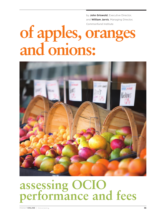by **John Griswold**, Executive Director, and **William Jarvis**, Managing Director, Commonfund Institute

# **of apples, oranges and onions:**



# **assessing OCIO performance and fees**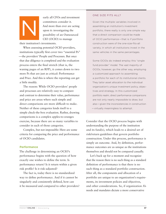

early all CFOs and investment committees consider it. And more than ever are acting upon it: investigating the possibility of an Outsourced CIO (OCIO) to manage

their institution's investments.

When assessing potential OCIO providers, institutions typically first cover two "essential Ps" —the providers' People and Processes. But once that due diligence is completed and the evaluation process enters the final stretch (that is, the waning pages of an RFP), it comes down to two more Ps that are just as critical: Performance and Price. And this is where the reporting can get a little muddy.

The reason: While OCIO providers' people and processes are relatively easy to compare and contrast to determine their value, performance and price are areas where such simple and direct comparisons are more difficult to make. Neither of these categories lends itself to a simple check-the-box evaluation. Rather, drawing comparisons is a complex apples-to-oranges exercise, because there are so many variables to consider in each of those categories.

Complex, but not impossible: Here are some criteria for comparing the price and performance of OCIO candidates.

#### **Performance**

The challenge in determining an OCIO's performance begins with the question of how exactly one wishes to define the term. Is performance return? Is it return within a given risk profile? Is it risk-adjusted?

The fact is, today there is no standardized way to define performance. And if it cannot be singularly and consistently defined, how can it be measured and compared to other providers?

#### ONE SIZE FITS ALL?

Given the multiple variables involved in assembling an institution's investment portfolio, there really is only one simple way that a direct comparison could be made of OCIO performance—that is if portfolio construction were of the one-size-fits-all variety, in which all institutions invest in the same vehicles in the same percentages.

Some OCIOs do indeed employ this "single fund provider" model. The vast majority of OCIOs, however, go the other way, employing a customized approach to assembling a portfolio for each of its institutional clients. They tailor asset allocation to the individual organization's unique investment policy, objectives and strategy. In this customized portfolio realm, direct performance comparisons are not only nearly impossible to draw, but also—given the inconsistencies in construction —virtually meaningless to attempt.

Consider that the OCIO process begins with understanding the purpose of the institution and its fund(s), which leads to a desired set of risk/return guidelines that govern portfolio construction. Under this process, performance is simply an outcome. And, by definition, performance outcomes are as unique as the institutions themselves and should not be compared casually.

Let's back up for a moment and recognize that the reason there is no such thing as a standard definition of performance is that there is no such thing as a standard portfolio construction. After all, the components and allocation of a portfolio are unique to an organization's requirements, its investment policies and objectives, and other considerations. So, if organization A's needs and mandates dictate a more conservative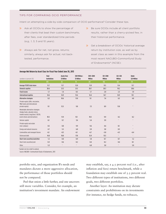#### TIPS FOR COMPARING OCIO PERFORMANCE

Intent on attempting a side-by-side comparison of OCIO performance? Consider these tips.

- $\gg$  Ask all OCIOs to show the percentage of their clients that beat their custom benchmarks, after fees, over standardized time periods (e.g., 1, 3, 5 and 10 years).
- $\gg$  Always ask for net, not gross, returns; similarly, always ask for actual, not backtested, performance.
- $\gg$  Be sure OCIOs include all client portfolio results, rather than a cherry-picked few, in their historical performance.
- Set a breakdown of OCIOs' historical average return by institution size, as well as by asset class as seen in this example from the most recent NACUBO-Commonfund Study of Endowments® (NCSE):

| numbers in percent (%)                                                                                                                      | <b>Total</b><br><b>Institutions</b> | <b>Assets Over</b><br>\$1 Billion | \$501 Million-<br>\$1 Billion | \$101-\$500<br><b>Million</b> | \$51-\$100<br>Million | $$25 - $50$<br>Million | <b>Under</b><br>\$25 Million |
|---------------------------------------------------------------------------------------------------------------------------------------------|-------------------------------------|-----------------------------------|-------------------------------|-------------------------------|-----------------------|------------------------|------------------------------|
|                                                                                                                                             | 835                                 | 82                                | 70 <sup>°</sup>               | 261                           | 166                   | 125                    | 131                          |
| Average FY2013 total return                                                                                                                 | 11.7                                | 11.7                              | 12.0                          | 11.9                          | 11.5                  | 11.4                   | 11.7                         |
| <b>Domestic equities</b>                                                                                                                    | 20.6                                | 21.3                              | 21.5                          | 20.7                          | 20.3                  | 19.2                   | 20.6                         |
| <b>Fixed income</b>                                                                                                                         | 1.7                                 | 1.4                               | 0.5                           | 1.7                           | 2.0                   | 2.3                    | 1.9                          |
| <b>International equities</b>                                                                                                               | 14.6                                | 14.9                              | 15.6                          | 14.4                          | 14.7                  | 14.9                   | 13.1                         |
| Alternative strategies                                                                                                                      | 8.3                                 | 10.6                              | 11.0                          | 9.1                           | 7.4                   | 6.5                    | 4.8                          |
| Private equity (LBOs, mezzanine,<br>M&A funds and international<br>private equity)                                                          | 9.1                                 | 12.5                              | 9.8                           | 7.3                           | 8.9                   | 11.8                   | $\ast$                       |
| Marketable alternative strategies<br>(hedge funds, absolute return,<br>market neutral, long/short, 130/30,<br>event-driven and derivatives) | 10.5                                | 11.9                              | 13.1                          | 10.5                          | 9.9                   | 8.2                    | 8.2                          |
| Venture capital                                                                                                                             | 6.1                                 | 9.7                               | 3.6                           | 5.4                           | 3.9                   | $\ast$                 | $\ast$                       |
| Private equity real estate<br>(non-campus)                                                                                                  | 8.5                                 | 8.8                               | 9.9                           | 9.6                           | 4.6                   | 8.1                    | $\ast$                       |
| Energy and natural resources                                                                                                                | 4.7                                 | 5.5                               | 6.8                           | 3.9                           | 3.8                   | 0.3                    | $\ast$                       |
| Commodities and managed futures                                                                                                             | $-6.1$                              | $-8.3$                            | $-6.1$                        | $-6.7$                        | $-5.0$                | $-4.3$                 | $-6.4$                       |
| Distressed debt                                                                                                                             | 14.8                                | 18.0                              | 17.8                          | 12.9                          | 13.3                  | $\ast$                 | $\ast$                       |
| Short-term securities/cash/other                                                                                                            | 1.2                                 | 0.8                               | 0.9                           | 1.8                           | 0.7                   | 0.7                    | 1.2                          |
| Short-term securities/cash                                                                                                                  | 0.3                                 | 0.6                               | 0.2                           | 0.4                           | 0.2                   | 0.4                    | 0.1                          |
| <b>Other</b>                                                                                                                                | 5.3                                 | $\ast$                            | $\ast$                        | 6.0                           | 3.0                   | $\ast$                 | 5.9                          |

#### **Average Net Return by Asset Class for Fiscal Year Ended June 30, 2013**

\*sample size too small to analyze

Source: NACUBO—Communfund Study of Endowments, 2013

portfolio mix, and organization B's needs and mandates dictate a more aggressive allocation, the performance of those portfolios should not be compared.

Peel that onion a little further, and one uncovers still more variables. Consider, for example, an institution's investment mandate. An endowment

may establish, say, a 4.5 percent real (i.e., after inflation and fees) return benchmark, while a foundation may establish one of 5.5 percent real. Two different types of institutions, two different goals, two different portfolios.

Another layer: An institution may dictate constraints and prohibitions on its investments (for instance, no hedge funds, no tobacco,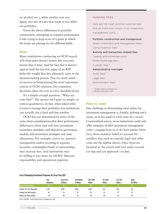no alcohol, etc.), while another may not. Again, two sets of rules that result in two different portfolios.

Given the above differences in portfolio construction, attempting to compare performance is like trying to keep score of a game in which the teams are playing on two different fields.

#### **Price**

Many institutions conducting an OCIO search will claim price doesn't matter. But everyone knows that it does. And the fact that it doesn't appear until the last few pages of an RFP belies the weight that fees ultimately carry in the decision-making process. Fees are rarely noted in surveys as being among the most important criteria in OCIO selection, but committee decisions often cite cost as a key deciding factor.

It's a simple enough question: "What are your fees?" The answer isn't quite so simple, or even as quantitative. In fact, when asked what it costs to manage their portfolios, few institutions can actually cite a hard and fast number.

OCIO fees are determined by many of the same client considerations that drive performance differences: client type and size; investment committee mandates and objectives; governance models; and investment strategies and asset allocations. For example, active (vs. passive) management and/or investing in separate accounts, commingled funds or partnerships may increase fees. And institutions may be willing to pay more for OCIOs' fiduciary responsibility and operational expertise.

#### PARSING FEES

Here are the most common external fees that an institution incurs in its investment management costs:

#### Portfolio construction and management

Direct investment and management fees<sup>1,2</sup> Carry/incentive fees<sup>2</sup>

Activity and transaction-related fees Trading and brokerage costs<sup>2</sup>

Prime brokerage fees $2$ Custody fees<sup>1,2</sup> Administrative oversight Audit fees1,2 Legal fees $1,2$ Administrator fees<sup>1,2</sup> 1 Generally included in investment cost

#### **Fees vs. costs**

2 Generally netted against returns

One challenge in determining total outlay for investment management is, frankly, defining one's terms, as in fees paid vs. total costs. In a recent Commonfund survey, most institutions could only offer estimates of their investment management costs—ranging from 64 to 80 basis points. However, those numbers failed to account for ancillary fees such as custody, legal and other costs (see the sidebar above). Once those are factored in, the actual total cost easily exceeds 100 bps and can approach 170 bps.

| COST OF Managing Investment Programs for Fiscal Year ZVIS |                              |                                   |                               |                        |                       |                        |                       |  |  |
|-----------------------------------------------------------|------------------------------|-----------------------------------|-------------------------------|------------------------|-----------------------|------------------------|-----------------------|--|--|
|                                                           | Total<br><b>Institutions</b> | <b>Assets Over</b><br>\$1 Billion | \$501 Million-<br>\$1 Billion | \$101-\$500<br>Million | \$51-\$100<br>Million | $$25 - $50$<br>Million | Under<br>\$25 Million |  |  |
| <b>Responding institutions</b>                            | 710                          | 46                                | 54                            | 231                    | 155                   | 111                    | 113                   |  |  |
| Average cost (\$ in thousands)                            | 1.707                        | 15.130                            | 4.681                         | 1.395                  | 374                   | 189                    | 85                    |  |  |
| Average cost (basis points)                               | 64                           | 74                                | 74                            | 70                     | 55                    | 57                     | 61                    |  |  |
| Median cost (basis points)                                |                              | 50                                | 52                            | 58                     | 48                    | 45                     | 56                    |  |  |

#### **Cost of Managing Investment Programs for Fiscal Year 2013**

Source: NACUBO—Communfund Study of Endowments, 2013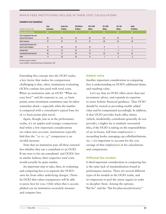#### WHICH FEES INSTITUTIONS INCLUDE IN THEIR COST CALCULATIONS

#### **Included in Cost Calculations**\*

| numbers in percent (%)                               | <b>Total</b><br><b>Institutions</b> | <b>Assets Over</b><br>\$1 Billion | \$501 Million-<br>\$1 Billion | $$101 - $500$<br><b>Million</b> | $$51 - $100$<br><b>Million</b> | $$25 - $50$<br><b>Million</b> | <b>Under</b><br>\$25 Million |  |
|------------------------------------------------------|-------------------------------------|-----------------------------------|-------------------------------|---------------------------------|--------------------------------|-------------------------------|------------------------------|--|
| <b>Responding institutions</b>                       | 662                                 | 47                                | 55                            | 217                             | 141                            | 100                           | 102                          |  |
| Asset management fees and<br>mutual fund expenses    | 86                                  | 83                                | 85                            | 90                              | 85                             | 83                            | 81                           |  |
| <b>Direct expenses</b>                               | 55                                  | 81                                | 91                            | 67                              | 48                             | 34                            | 28                           |  |
| Incentive/performance fees<br>paid to asset managers | 15                                  | 38                                | 35                            | 18                              |                                |                               |                              |  |
| Internal staff                                       | 20                                  | 79                                | 56                            | 21                              |                                |                               |                              |  |
| Consultant/outsourcing fees                          | 66                                  | 72                                | 95                            | 81                              | 63                             | 41                            | 42                           |  |
| <b>Other</b>                                         | 11                                  | 28                                | 20                            | 12                              |                                |                               |                              |  |

\*multiple responses allowed

Source: NACUBO—Communfund Study of Endowments, 2013

Extending this concept into the OCIO realm, a key factor that makes fee comparisons challenging is that, often, institutions evaluating OCIOs confuse fees paid with total costs. When an institution asks an OCIO "What are your fees?" and the response is, say, 35 basis points, some investment committees may be taken somewhat aback—especially when the number is compared with a consultant's typical base fee of 10 basis points plus travel.

Again, though, just as in the performance realm, it's an apples-and-oranges comparison. And when a few important considerations are taken into account, institutions typically find that the "10 vs. 35" comparison is an invalid measure.

Note that an institution pays all these external fees whether they use a consultant or an OCIO. If one were to list out consultants' and OCIOs' fees in similar fashion, their respective total costs would actually be quite similar.

An important step to take, then, in evaluating and comparing fees is to separate the OCIO's own fee from other underlying charges. (Note: An OCIO that values transparency will be able to parse fees for you.) Only when that is accomplished can an institution accurately measure and compare fees.

#### **Added value**

Another important consideration in comparing fees is understanding an OCIO's additional duties and resulting value.

Let's say that an OCIO offers more than just investment advice, and expands its expertise to more holistic financial guidance. That OCIO should be viewed as providing sizable added value and be compensated accordingly. In addition, if that OCIO provides back-office duties (which, incidentally, consultants generally do not provide), a higher fee is similarly warranted. Also, if the OCIO is taking on the responsibilities of an in-house, full-time employee(s) reconciling books, managing cap calls/distributions, etc.—it's important to account for the cost savings of that employee(s) in fee calculations and comparisons.

#### **Different fee models**

A third important consideration in comparing fees is the same lack of standardization found in performance metrics. There are several different types of fee models in the OCIO realm, and it's important to peel the onion (again) in order to decipher them. Among the options: "flat fee" and the "flat-fee-plus-incentive/carry."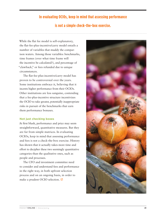### **In evaluating OCIOs, keep in mind that assessing performance**

## **is not a simple check-the-box exercise.**

While the flat fee model is self-explanatory, the flat-fee-plus-incentive/carry model entails a number of variables that muddy the comparison waters. Among those variables: benchmarks, time frames (over what time frame will the incentive be calculated?), and percentage of "clawback," or fees refunded due to unique circumstances.

The flat-fee-plus-incentive/carry model has proven to be controversial over the years. Some institutions embrace it, believing that it incents higher performance from their OCIOs. Other institutions are less sanguine, contending that a fee-plus-incentive structure incentivizes the OCIO to take greater, potentially inappropriate risks in pursuit of the benchmarks that earn them performance bonuses.

#### **Not just checking boxes**

At first blush, performance and price may seem straightforward, quantitative measures. But they are far from simple matrices. In evaluating OCIOs, keep in mind that assessing performance and fees is not a check-the-box exercise. History has shown that it actually takes more time and effort to decipher these two seemingly quantitative categories than the qualitative ones, such as people and processes.

The CFO and investment committee need to consider and understand fees and performance in the right way, in both upfront selection process and on an ongoing basis, in order to make a prudent OCIO selection. IN